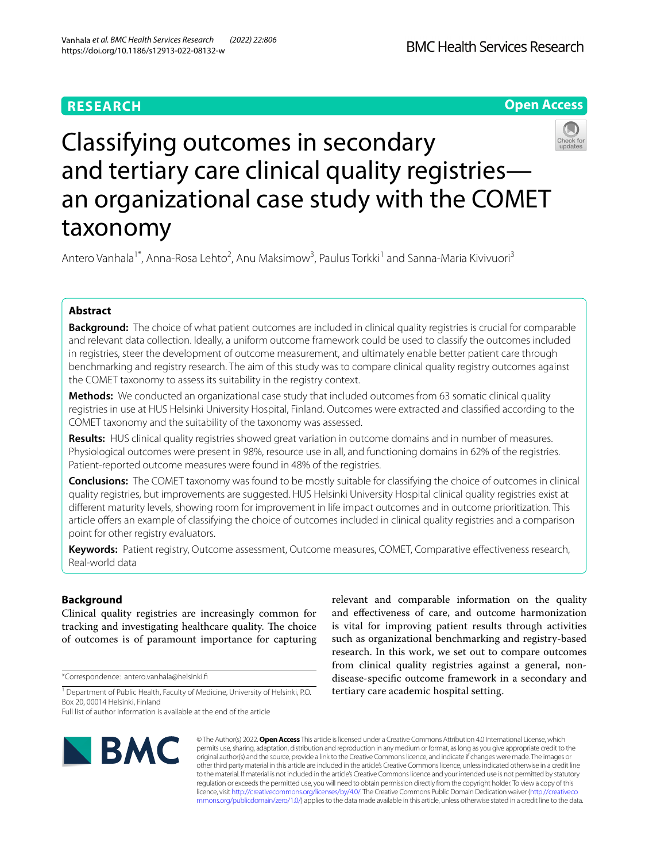## **RESEARCH**

**Open Access**



# Classifying outcomes in secondary and tertiary care clinical quality registries an organizational case study with the COMET taxonomy

Antero Vanhala<sup>1\*</sup>, Anna-Rosa Lehto<sup>2</sup>, Anu Maksimow<sup>3</sup>, Paulus Torkki<sup>1</sup> and Sanna-Maria Kivivuori<sup>3</sup>

## **Abstract**

**Background:** The choice of what patient outcomes are included in clinical quality registries is crucial for comparable and relevant data collection. Ideally, a uniform outcome framework could be used to classify the outcomes included in registries, steer the development of outcome measurement, and ultimately enable better patient care through benchmarking and registry research. The aim of this study was to compare clinical quality registry outcomes against the COMET taxonomy to assess its suitability in the registry context.

**Methods:** We conducted an organizational case study that included outcomes from 63 somatic clinical quality registries in use at HUS Helsinki University Hospital, Finland. Outcomes were extracted and classifed according to the COMET taxonomy and the suitability of the taxonomy was assessed.

**Results:** HUS clinical quality registries showed great variation in outcome domains and in number of measures. Physiological outcomes were present in 98%, resource use in all, and functioning domains in 62% of the registries. Patient-reported outcome measures were found in 48% of the registries.

**Conclusions:** The COMET taxonomy was found to be mostly suitable for classifying the choice of outcomes in clinical quality registries, but improvements are suggested. HUS Helsinki University Hospital clinical quality registries exist at diferent maturity levels, showing room for improvement in life impact outcomes and in outcome prioritization. This article ofers an example of classifying the choice of outcomes included in clinical quality registries and a comparison point for other registry evaluators.

**Keywords:** Patient registry, Outcome assessment, Outcome measures, COMET, Comparative efectiveness research, Real-world data

## **Background**

Clinical quality registries are increasingly common for tracking and investigating healthcare quality. The choice of outcomes is of paramount importance for capturing

\*Correspondence: antero.vanhala@helsinki.f

<sup>1</sup> Department of Public Health, Faculty of Medicine, University of Helsinki, P.O. Box 20, 00014 Helsinki, Finland

Full list of author information is available at the end of the article

relevant and comparable information on the quality and efectiveness of care, and outcome harmonization is vital for improving patient results through activities such as organizational benchmarking and registry-based research. In this work, we set out to compare outcomes from clinical quality registries against a general, nondisease-specifc outcome framework in a secondary and tertiary care academic hospital setting.



© The Author(s) 2022. **Open Access** This article is licensed under a Creative Commons Attribution 4.0 International License, which permits use, sharing, adaptation, distribution and reproduction in any medium or format, as long as you give appropriate credit to the original author(s) and the source, provide a link to the Creative Commons licence, and indicate if changes were made. The images or other third party material in this article are included in the article's Creative Commons licence, unless indicated otherwise in a credit line to the material. If material is not included in the article's Creative Commons licence and your intended use is not permitted by statutory regulation or exceeds the permitted use, you will need to obtain permission directly from the copyright holder. To view a copy of this licence, visit [http://creativecommons.org/licenses/by/4.0/.](http://creativecommons.org/licenses/by/4.0/) The Creative Commons Public Domain Dedication waiver ([http://creativeco](http://creativecommons.org/publicdomain/zero/1.0/) [mmons.org/publicdomain/zero/1.0/](http://creativecommons.org/publicdomain/zero/1.0/)) applies to the data made available in this article, unless otherwise stated in a credit line to the data.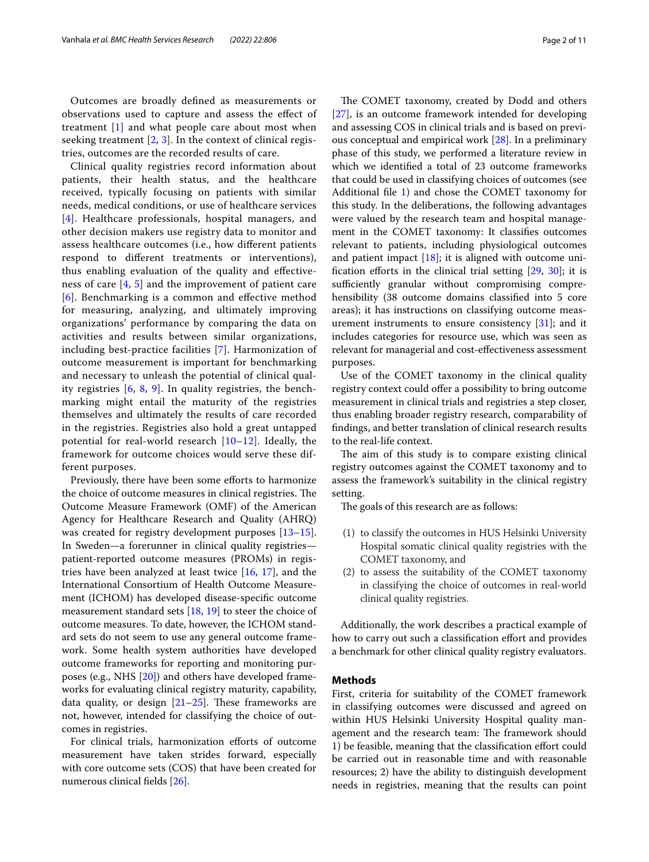Outcomes are broadly defned as measurements or observations used to capture and assess the efect of treatment [[1\]](#page-9-0) and what people care about most when seeking treatment  $[2, 3]$  $[2, 3]$  $[2, 3]$  $[2, 3]$ . In the context of clinical registries, outcomes are the recorded results of care.

Clinical quality registries record information about patients, their health status, and the healthcare received, typically focusing on patients with similar needs, medical conditions, or use of healthcare services [[4](#page-9-3)]. Healthcare professionals, hospital managers, and other decision makers use registry data to monitor and assess healthcare outcomes (i.e., how diferent patients respond to diferent treatments or interventions), thus enabling evaluation of the quality and efectiveness of care [[4](#page-9-3), [5](#page-9-4)] and the improvement of patient care [[6](#page-9-5)]. Benchmarking is a common and efective method for measuring, analyzing, and ultimately improving organizations' performance by comparing the data on activities and results between similar organizations, including best-practice facilities [\[7](#page-9-6)]. Harmonization of outcome measurement is important for benchmarking and necessary to unleash the potential of clinical quality registries [[6](#page-9-5), [8](#page-9-7), [9](#page-9-8)]. In quality registries, the benchmarking might entail the maturity of the registries themselves and ultimately the results of care recorded in the registries. Registries also hold a great untapped potential for real-world research [[10–](#page-9-9)[12\]](#page-9-10). Ideally, the framework for outcome choices would serve these different purposes.

Previously, there have been some efforts to harmonize the choice of outcome measures in clinical registries. The Outcome Measure Framework (OMF) of the American Agency for Healthcare Research and Quality (AHRQ) was created for registry development purposes [[13](#page-9-11)[–15](#page-9-12)]. In Sweden—a forerunner in clinical quality registries patient-reported outcome measures (PROMs) in registries have been analyzed at least twice [[16](#page-9-13), [17\]](#page-9-14), and the International Consortium of Health Outcome Measurement (ICHOM) has developed disease-specifc outcome measurement standard sets [[18,](#page-9-15) [19](#page-9-16)] to steer the choice of outcome measures. To date, however, the ICHOM standard sets do not seem to use any general outcome framework. Some health system authorities have developed outcome frameworks for reporting and monitoring purposes (e.g., NHS [[20\]](#page-9-17)) and others have developed frameworks for evaluating clinical registry maturity, capability, data quality, or design  $[21-25]$  $[21-25]$  $[21-25]$ . These frameworks are not, however, intended for classifying the choice of outcomes in registries.

For clinical trials, harmonization efforts of outcome measurement have taken strides forward, especially with core outcome sets (COS) that have been created for numerous clinical felds [[26\]](#page-9-20).

The COMET taxonomy, created by Dodd and others [[27\]](#page-9-21), is an outcome framework intended for developing and assessing COS in clinical trials and is based on previous conceptual and empirical work [\[28](#page-9-22)]. In a preliminary phase of this study, we performed a literature review in which we identifed a total of 23 outcome frameworks that could be used in classifying choices of outcomes (see Additional fle [1](#page-8-0)) and chose the COMET taxonomy for this study. In the deliberations, the following advantages were valued by the research team and hospital management in the COMET taxonomy: It classifes outcomes relevant to patients, including physiological outcomes and patient impact  $[18]$ ; it is aligned with outcome unification efforts in the clinical trial setting  $[29, 30]$  $[29, 30]$  $[29, 30]$ ; it is sufficiently granular without compromising comprehensibility (38 outcome domains classifed into 5 core areas); it has instructions on classifying outcome measurement instruments to ensure consistency  $[31]$  $[31]$  $[31]$ ; and it includes categories for resource use, which was seen as relevant for managerial and cost-efectiveness assessment purposes.

Use of the COMET taxonomy in the clinical quality registry context could offer a possibility to bring outcome measurement in clinical trials and registries a step closer, thus enabling broader registry research, comparability of fndings, and better translation of clinical research results to the real-life context.

The aim of this study is to compare existing clinical registry outcomes against the COMET taxonomy and to assess the framework's suitability in the clinical registry setting.

The goals of this research are as follows:

- (1) to classify the outcomes in HUS Helsinki University Hospital somatic clinical quality registries with the COMET taxonomy, and
- (2) to assess the suitability of the COMET taxonomy in classifying the choice of outcomes in real-world clinical quality registries.

Additionally, the work describes a practical example of how to carry out such a classification effort and provides a benchmark for other clinical quality registry evaluators.

#### **Methods**

First, criteria for suitability of the COMET framework in classifying outcomes were discussed and agreed on within HUS Helsinki University Hospital quality management and the research team: The framework should 1) be feasible, meaning that the classifcation efort could be carried out in reasonable time and with reasonable resources; 2) have the ability to distinguish development needs in registries, meaning that the results can point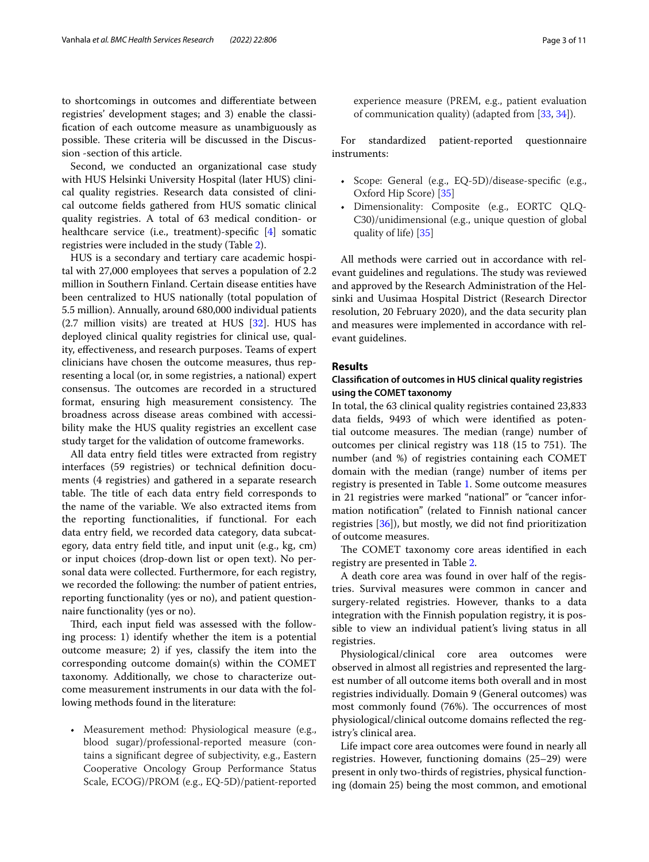to shortcomings in outcomes and diferentiate between registries' development stages; and 3) enable the classifcation of each outcome measure as unambiguously as possible. These criteria will be discussed in the Discussion -section of this article.

Second, we conducted an organizational case study with HUS Helsinki University Hospital (later HUS) clinical quality registries. Research data consisted of clinical outcome felds gathered from HUS somatic clinical quality registries. A total of 63 medical condition- or healthcare service (i.e., treatment)-specifc [[4\]](#page-9-3) somatic registries were included in the study (Table [2](#page-4-0)).

HUS is a secondary and tertiary care academic hospital with 27,000 employees that serves a population of 2.2 million in Southern Finland. Certain disease entities have been centralized to HUS nationally (total population of 5.5 million). Annually, around 680,000 individual patients (2.7 million visits) are treated at HUS [[32\]](#page-9-26). HUS has deployed clinical quality registries for clinical use, quality, efectiveness, and research purposes. Teams of expert clinicians have chosen the outcome measures, thus representing a local (or, in some registries, a national) expert consensus. The outcomes are recorded in a structured format, ensuring high measurement consistency. The broadness across disease areas combined with accessibility make the HUS quality registries an excellent case study target for the validation of outcome frameworks.

All data entry feld titles were extracted from registry interfaces (59 registries) or technical defnition documents (4 registries) and gathered in a separate research table. The title of each data entry field corresponds to the name of the variable. We also extracted items from the reporting functionalities, if functional. For each data entry feld, we recorded data category, data subcategory, data entry feld title, and input unit (e.g., kg, cm) or input choices (drop-down list or open text). No personal data were collected. Furthermore, for each registry, we recorded the following: the number of patient entries, reporting functionality (yes or no), and patient questionnaire functionality (yes or no).

Third, each input field was assessed with the following process: 1) identify whether the item is a potential outcome measure; 2) if yes, classify the item into the corresponding outcome domain(s) within the COMET taxonomy. Additionally, we chose to characterize outcome measurement instruments in our data with the following methods found in the literature:

• Measurement method: Physiological measure (e.g., blood sugar)/professional-reported measure (contains a signifcant degree of subjectivity, e.g., Eastern Cooperative Oncology Group Performance Status Scale, ECOG)/PROM (e.g., EQ-5D)/patient-reported experience measure (PREM, e.g., patient evaluation of communication quality) (adapted from [\[33,](#page-10-0) [34](#page-10-1)]).

For standardized patient-reported questionnaire instruments:

- Scope: General (e.g., EQ-5D)/disease-specifc (e.g., Oxford Hip Score) [[35](#page-10-2)]
- Dimensionality: Composite (e.g., EORTC QLQ-C30)/unidimensional (e.g., unique question of global quality of life) [\[35](#page-10-2)]

All methods were carried out in accordance with relevant guidelines and regulations. The study was reviewed and approved by the Research Administration of the Helsinki and Uusimaa Hospital District (Research Director resolution, 20 February 2020), and the data security plan and measures were implemented in accordance with relevant guidelines.

#### **Results**

## **Classifcation of outcomes in HUS clinical quality registries using the COMET taxonomy**

In total, the 63 clinical quality registries contained 23,833 data felds, 9493 of which were identifed as potential outcome measures. The median (range) number of outcomes per clinical registry was 118 (15 to 751). The number (and %) of registries containing each COMET domain with the median (range) number of items per registry is presented in Table [1](#page-3-0). Some outcome measures in 21 registries were marked "national" or "cancer information notifcation" (related to Finnish national cancer registries [\[36](#page-10-3)]), but mostly, we did not fnd prioritization of outcome measures.

The COMET taxonomy core areas identified in each registry are presented in Table [2.](#page-4-0)

A death core area was found in over half of the registries. Survival measures were common in cancer and surgery-related registries. However, thanks to a data integration with the Finnish population registry, it is possible to view an individual patient's living status in all registries.

Physiological/clinical core area outcomes were observed in almost all registries and represented the largest number of all outcome items both overall and in most registries individually. Domain 9 (General outcomes) was most commonly found (76%). The occurrences of most physiological/clinical outcome domains refected the registry's clinical area.

Life impact core area outcomes were found in nearly all registries. However, functioning domains (25–29) were present in only two-thirds of registries, physical functioning (domain 25) being the most common, and emotional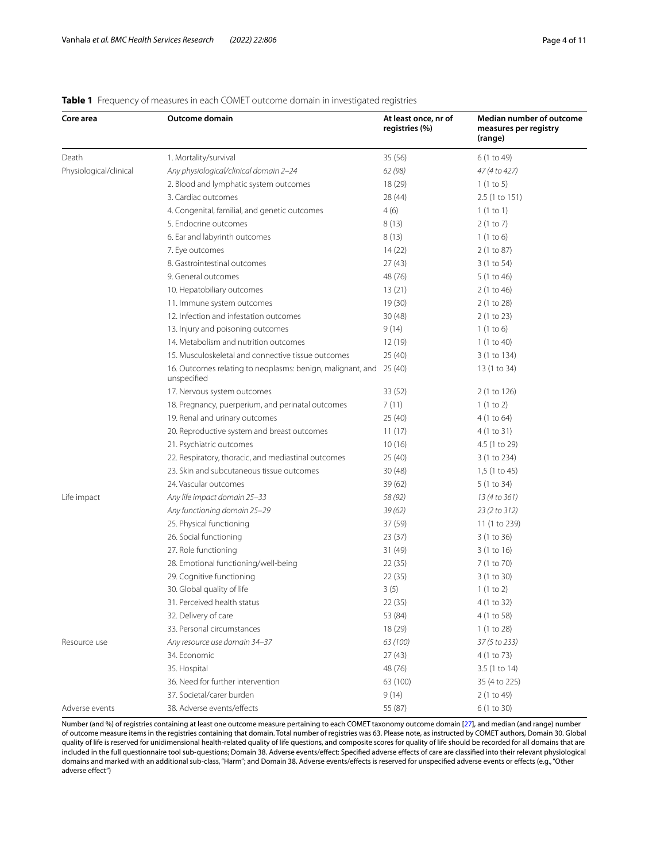## <span id="page-3-0"></span>**Table 1** Frequency of measures in each COMET outcome domain in investigated registries

| Core area              | Outcome domain                                                            | At least once, nr of<br>registries (%) | Median number of outcome<br>measures per registry<br>(range) |
|------------------------|---------------------------------------------------------------------------|----------------------------------------|--------------------------------------------------------------|
| Death                  | 1. Mortality/survival                                                     | 35 (56)                                | 6 (1 to 49)                                                  |
| Physiological/clinical | Any physiological/clinical domain 2-24                                    | 62 (98)                                | 47 (4 to 427)                                                |
|                        | 2. Blood and lymphatic system outcomes                                    | 18 (29)                                | 1(1 to 5)                                                    |
|                        | 3. Cardiac outcomes                                                       | 28 (44)                                | 2.5 (1 to 151)                                               |
|                        | 4. Congenital, familial, and genetic outcomes                             | 4(6)                                   | 1(1 to 1)                                                    |
|                        | 5. Endocrine outcomes                                                     | 8(13)                                  | 2(1 to 7)                                                    |
|                        | 6. Ear and labyrinth outcomes                                             | 8(13)                                  | $1(1 \text{ to } 6)$                                         |
|                        | 7. Eye outcomes                                                           | 14(22)                                 | 2 (1 to 87)                                                  |
|                        | 8. Gastrointestinal outcomes                                              | 27(43)                                 | 3 (1 to 54)                                                  |
|                        | 9. General outcomes                                                       | 48 (76)                                | 5 (1 to 46)                                                  |
|                        | 10. Hepatobiliary outcomes                                                | 13(21)                                 | 2 (1 to 46)                                                  |
|                        | 11. Immune system outcomes                                                | 19(30)                                 | 2 (1 to 28)                                                  |
|                        | 12. Infection and infestation outcomes                                    | 30(48)                                 | 2 (1 to 23)                                                  |
|                        | 13. Injury and poisoning outcomes                                         | 9(14)                                  | 1(1 to 6)                                                    |
|                        | 14. Metabolism and nutrition outcomes                                     | 12 (19)                                | 1 (1 to 40)                                                  |
|                        | 15. Musculoskeletal and connective tissue outcomes                        | 25 (40)                                | 3 (1 to 134)                                                 |
|                        | 16. Outcomes relating to neoplasms: benign, malignant, and<br>unspecified | 25(40)                                 | 13 (1 to 34)                                                 |
|                        | 17. Nervous system outcomes                                               | 33 (52)                                | 2 (1 to 126)                                                 |
|                        | 18. Pregnancy, puerperium, and perinatal outcomes                         | 7(11)                                  | 1(1 to 2)                                                    |
|                        | 19. Renal and urinary outcomes                                            | 25 (40)                                | 4 (1 to 64)                                                  |
|                        | 20. Reproductive system and breast outcomes                               | 11(17)                                 | 4 (1 to 31)                                                  |
|                        | 21. Psychiatric outcomes                                                  | 10(16)                                 | 4.5 (1 to 29)                                                |
|                        | 22. Respiratory, thoracic, and mediastinal outcomes                       | 25 (40)                                | 3 (1 to 234)                                                 |
|                        | 23. Skin and subcutaneous tissue outcomes                                 | 30(48)                                 | 1,5 (1 to 45)                                                |
|                        | 24. Vascular outcomes                                                     | 39 (62)                                | 5 (1 to 34)                                                  |
| Life impact            | Any life impact domain 25-33                                              | 58 (92)                                | 13 (4 to 361)                                                |
|                        | Any functioning domain 25-29                                              | 39(62)                                 | 23 (2 to 312)                                                |
|                        | 25. Physical functioning                                                  | 37 (59)                                | 11 (1 to 239)                                                |
|                        | 26. Social functioning                                                    | 23(37)                                 | 3(1 to 36)                                                   |
|                        | 27. Role functioning                                                      | 31 (49)                                | 3(1 to 16)                                                   |
|                        | 28. Emotional functioning/well-being                                      | 22(35)                                 | 7 (1 to 70)                                                  |
|                        | 29. Cognitive functioning                                                 | 22 (35)                                | 3 (1 to 30)                                                  |
|                        | 30. Global quality of life                                                | 3(5)                                   | 1(1 to 2)                                                    |
|                        | 31. Perceived health status                                               | 22 (35)                                | 4 (1 to 32)                                                  |
|                        | 32. Delivery of care                                                      | 53 (84)                                | 4 (1 to 58)                                                  |
|                        | 33. Personal circumstances                                                | 18 (29)                                | 1(1 to 28)                                                   |
| Resource use           | Any resource use domain 34-37                                             | 63 (100)                               | 37 (5 to 233)                                                |
|                        | 34. Economic                                                              | 27(43)                                 | 4 (1 to 73)                                                  |
|                        | 35. Hospital                                                              | 48 (76)                                | 3.5 (1 to 14)                                                |
|                        | 36. Need for further intervention                                         | 63 (100)                               | 35 (4 to 225)                                                |
|                        | 37. Societal/carer burden                                                 | 9(14)                                  | 2 (1 to 49)                                                  |
| Adverse events         | 38. Adverse events/effects                                                | 55 (87)                                | 6 (1 to 30)                                                  |

Number (and %) of registries containing at least one outcome measure pertaining to each COMET taxonomy outcome domain [\[27](#page-9-21)], and median (and range) number of outcome measure items in the registries containing that domain. Total number of registries was 63. Please note, as instructed by COMET authors, Domain 30. Global quality of life is reserved for unidimensional health-related quality of life questions, and composite scores for quality of life should be recorded for all domains that are included in the full questionnaire tool sub-questions; Domain 38. Adverse events/efect: Specifed adverse efects of care are classifed into their relevant physiological domains and marked with an additional sub-class, "Harm"; and Domain 38. Adverse events/efects is reserved for unspecifed adverse events or efects (e.g., "Other adverse efect")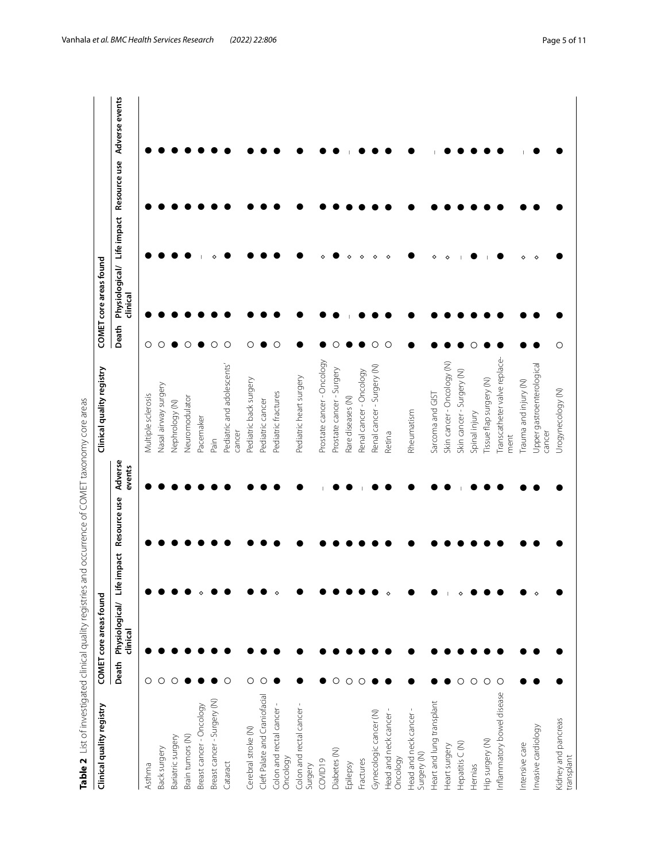<span id="page-4-0"></span>

| コーコミンソニン ソニン<br> <br> <br> <br> <br>    |  |
|-----------------------------------------|--|
|                                         |  |
|                                         |  |
|                                         |  |
|                                         |  |
|                                         |  |
| $\overline{ }$                          |  |
|                                         |  |
|                                         |  |
|                                         |  |
| ニーニューク りりとうきこうりつ てろう りりこそりてり<br>うりり リーニ |  |
|                                         |  |
| 5<br>)<br>)                             |  |
|                                         |  |
| ı                                       |  |
| ו<br>ק<br>١                             |  |
|                                         |  |
|                                         |  |
| ׇ֘֒                                     |  |
|                                         |  |
|                                         |  |
|                                         |  |
|                                         |  |
|                                         |  |
|                                         |  |
| $\overline{a}$                          |  |
|                                         |  |
|                                         |  |
|                                         |  |
|                                         |  |
| こり ていせいじ せいこうこ サリー                      |  |
| $\frac{1}{2}$                           |  |
| $\frac{1}{2}$                           |  |
| $\epsilon$                              |  |
|                                         |  |
| $\frac{6}{5}$                           |  |
|                                         |  |

| Clinical quality registry           |       | COMET core areas found                                                           | Clinical quality registry            |         | COMET core areas found                                                  |
|-------------------------------------|-------|----------------------------------------------------------------------------------|--------------------------------------|---------|-------------------------------------------------------------------------|
|                                     | Death | Adverse<br>events<br>Resource use<br>impact<br>Life<br>Physiological/<br>dinical |                                      | Death   | Adverse events<br>Resource use<br>Physiological/ Life impact<br>dinical |
| Asthma                              | О     |                                                                                  | Multiple sclerosis                   | О       |                                                                         |
| Back surgery                        | О     |                                                                                  | Nasal airway surgery                 | O       |                                                                         |
| Bariatric surgery                   | O     |                                                                                  | Nephrology (N)                       |         |                                                                         |
| Brain tumors (N)                    |       |                                                                                  | Neuromodulator                       | О       |                                                                         |
| Breast cancer - Oncology            |       |                                                                                  | Pacemaker                            |         |                                                                         |
| Breast cancer - Surgery (N)         |       |                                                                                  | Pain                                 | $\circ$ |                                                                         |
| Cataract                            | О     |                                                                                  | Pediatric and adolescents'<br>cancer | $\circ$ |                                                                         |
| Cerebral stroke (N)                 | O     |                                                                                  | Pediatric back surgery               | O       |                                                                         |
| Cleft Palate and Craniofacial       | С     |                                                                                  | Pediatric cancer                     |         |                                                                         |
| Colon and rectal cancer<br>Oncology |       |                                                                                  | Pediatric fractures                  | $\circ$ |                                                                         |
| Colon and rectal cancer-<br>Surgery |       |                                                                                  | Pediatric heart surgery              |         |                                                                         |
| COVID19                             |       |                                                                                  | Prostate cancer - Oncology           |         |                                                                         |
| Diabetes (N)                        | O     |                                                                                  | Prostate cancer - Surgery            | Ω       |                                                                         |
| Epilepsy                            | O     |                                                                                  | Rare diseases (N)                    |         |                                                                         |
| Fractures                           |       |                                                                                  | Renal cancer - Oncology              |         |                                                                         |
| Gynecologic cancer (N)              |       |                                                                                  | Renal cancer - Surgery (N)           | O       | ♦                                                                       |
| Head and neck cancer<br>Oncology    |       |                                                                                  | Retina                               | O       | $\ddot{\circ}$                                                          |
| Head and neck cancer<br>Surgery (N) |       |                                                                                  | Rheumatism                           |         |                                                                         |
| Heart and lung transplant           |       |                                                                                  | Sarcoma and GIST                     |         |                                                                         |
| Heart surgery                       |       |                                                                                  | Skin cancer - Oncology (N)           |         |                                                                         |
| Hepatitis C (N)                     |       |                                                                                  | Skin cancer - Surgery (N)            |         |                                                                         |
| Hernias                             | О     |                                                                                  | Spinal injury                        |         |                                                                         |
| Hip surgery (N)                     | О     |                                                                                  | Tissue flap surgery (N)              |         |                                                                         |
| Inflammatory bowel disease          | C     |                                                                                  | Transcatheter valve replace-<br>ment |         |                                                                         |
| Intensive care                      |       |                                                                                  | Trauma and injury (N)                |         |                                                                         |
| Invasive cardiology                 |       |                                                                                  | Upper gastroenterological<br>cancer  |         |                                                                         |
| Kidney and pancreas<br>transplant   |       |                                                                                  | Urogynecology (N)                    | O       |                                                                         |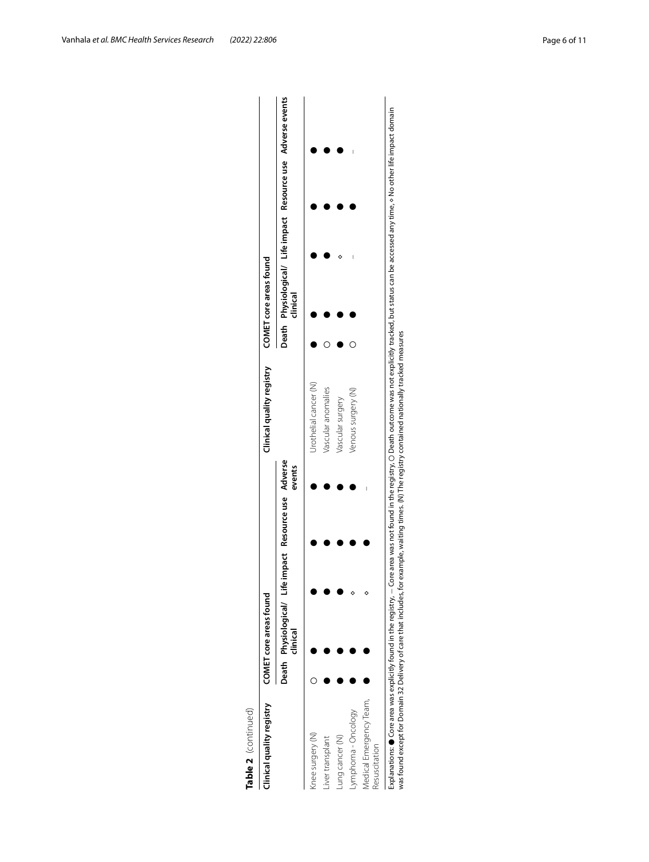| Clinical quality registry                | COMET core areas found                                            |  |        | Clinical quality registry | COMET core areas found |  |                                                              |
|------------------------------------------|-------------------------------------------------------------------|--|--------|---------------------------|------------------------|--|--------------------------------------------------------------|
|                                          | Death Physiological/ Life impact Resource use Adverse<br>clinical |  | events |                           | dinical                |  | Death Physiological/ Life impact Resource use Adverse events |
| (nee surgery (N)                         |                                                                   |  |        | Urothelial cancer (N)     |                        |  |                                                              |
| iver transplant                          |                                                                   |  |        | Vascular anomalies        |                        |  |                                                              |
| ung cancer (N)                           |                                                                   |  |        | Vascular surgery          |                        |  |                                                              |
| ymphoma - Oncology                       |                                                                   |  |        | Venous surgery (N)        |                        |  |                                                              |
| Medical Emergency Team,<br>Resuscitation |                                                                   |  |        |                           |                        |  |                                                              |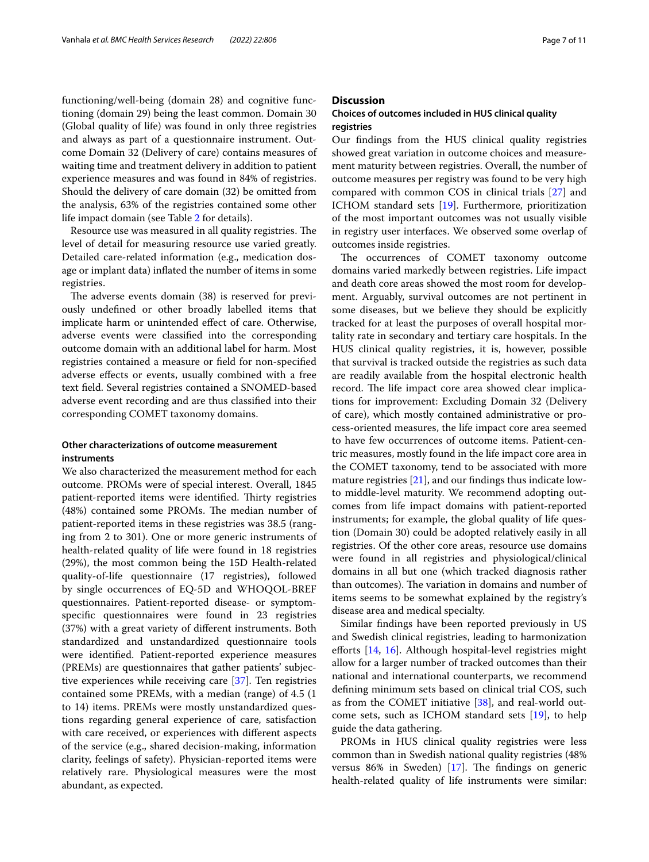functioning/well-being (domain 28) and cognitive functioning (domain 29) being the least common. Domain 30 (Global quality of life) was found in only three registries and always as part of a questionnaire instrument. Outcome Domain 32 (Delivery of care) contains measures of waiting time and treatment delivery in addition to patient experience measures and was found in 84% of registries. Should the delivery of care domain (32) be omitted from the analysis, 63% of the registries contained some other life impact domain (see Table [2](#page-4-0) for details).

Resource use was measured in all quality registries. The level of detail for measuring resource use varied greatly. Detailed care-related information (e.g., medication dosage or implant data) infated the number of items in some registries.

The adverse events domain (38) is reserved for previously undefned or other broadly labelled items that implicate harm or unintended efect of care. Otherwise, adverse events were classifed into the corresponding outcome domain with an additional label for harm. Most registries contained a measure or feld for non-specifed adverse efects or events, usually combined with a free text feld. Several registries contained a SNOMED-based adverse event recording and are thus classifed into their corresponding COMET taxonomy domains.

## **Other characterizations of outcome measurement instruments**

We also characterized the measurement method for each outcome. PROMs were of special interest. Overall, 1845 patient-reported items were identified. Thirty registries (48%) contained some PROMs. The median number of patient-reported items in these registries was 38.5 (ranging from 2 to 301). One or more generic instruments of health-related quality of life were found in 18 registries (29%), the most common being the 15D Health-related quality-of-life questionnaire (17 registries), followed by single occurrences of EQ-5D and WHOQOL-BREF questionnaires. Patient-reported disease- or symptomspecifc questionnaires were found in 23 registries (37%) with a great variety of diferent instruments. Both standardized and unstandardized questionnaire tools were identifed. Patient-reported experience measures (PREMs) are questionnaires that gather patients' subjective experiences while receiving care [[37](#page-10-4)]. Ten registries contained some PREMs, with a median (range) of 4.5 (1 to 14) items. PREMs were mostly unstandardized questions regarding general experience of care, satisfaction with care received, or experiences with diferent aspects of the service (e.g., shared decision-making, information clarity, feelings of safety). Physician-reported items were relatively rare. Physiological measures were the most abundant, as expected.

## **Discussion**

## **Choices of outcomes included in HUS clinical quality registries**

Our fndings from the HUS clinical quality registries showed great variation in outcome choices and measurement maturity between registries. Overall, the number of outcome measures per registry was found to be very high compared with common COS in clinical trials [[27\]](#page-9-21) and ICHOM standard sets [[19\]](#page-9-16). Furthermore, prioritization of the most important outcomes was not usually visible in registry user interfaces. We observed some overlap of outcomes inside registries.

The occurrences of COMET taxonomy outcome domains varied markedly between registries. Life impact and death core areas showed the most room for development. Arguably, survival outcomes are not pertinent in some diseases, but we believe they should be explicitly tracked for at least the purposes of overall hospital mortality rate in secondary and tertiary care hospitals. In the HUS clinical quality registries, it is, however, possible that survival is tracked outside the registries as such data are readily available from the hospital electronic health record. The life impact core area showed clear implications for improvement: Excluding Domain 32 (Delivery of care), which mostly contained administrative or process-oriented measures, the life impact core area seemed to have few occurrences of outcome items. Patient-centric measures, mostly found in the life impact core area in the COMET taxonomy, tend to be associated with more mature registries [\[21](#page-9-18)], and our fndings thus indicate lowto middle-level maturity. We recommend adopting outcomes from life impact domains with patient-reported instruments; for example, the global quality of life question (Domain 30) could be adopted relatively easily in all registries. Of the other core areas, resource use domains were found in all registries and physiological/clinical domains in all but one (which tracked diagnosis rather than outcomes). The variation in domains and number of items seems to be somewhat explained by the registry's disease area and medical specialty.

Similar fndings have been reported previously in US and Swedish clinical registries, leading to harmonization efforts [[14,](#page-9-27) [16](#page-9-13)]. Although hospital-level registries might allow for a larger number of tracked outcomes than their national and international counterparts, we recommend defning minimum sets based on clinical trial COS, such as from the COMET initiative [\[38](#page-10-5)], and real-world outcome sets, such as ICHOM standard sets [\[19](#page-9-16)], to help guide the data gathering.

PROMs in HUS clinical quality registries were less common than in Swedish national quality registries (48% versus 86% in Sweden)  $[17]$  $[17]$ . The findings on generic health-related quality of life instruments were similar: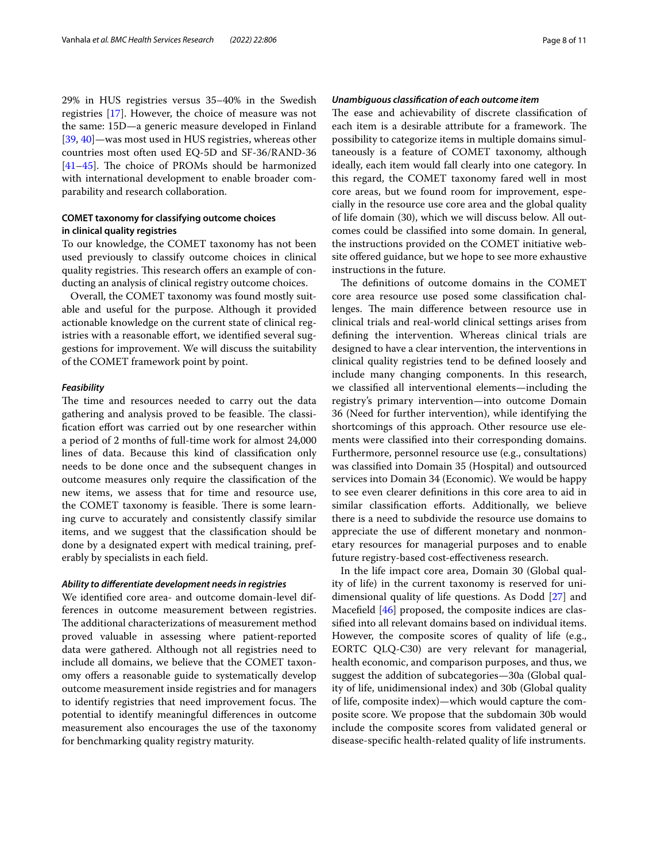29% in HUS registries versus 35–40% in the Swedish registries [[17\]](#page-9-14). However, the choice of measure was not the same: 15D—a generic measure developed in Finland [[39,](#page-10-6) [40](#page-10-7)]—was most used in HUS registries, whereas other countries most often used EQ-5D and SF-36/RAND-36 [[41–](#page-10-8)[45](#page-10-9)]. The choice of PROMs should be harmonized with international development to enable broader comparability and research collaboration.

## **COMET taxonomy for classifying outcome choices in clinical quality registries**

To our knowledge, the COMET taxonomy has not been used previously to classify outcome choices in clinical quality registries. This research offers an example of conducting an analysis of clinical registry outcome choices.

Overall, the COMET taxonomy was found mostly suitable and useful for the purpose. Although it provided actionable knowledge on the current state of clinical registries with a reasonable effort, we identified several suggestions for improvement. We will discuss the suitability of the COMET framework point by point.

#### *Feasibility*

The time and resources needed to carry out the data gathering and analysis proved to be feasible. The classification effort was carried out by one researcher within a period of 2 months of full-time work for almost 24,000 lines of data. Because this kind of classifcation only needs to be done once and the subsequent changes in outcome measures only require the classifcation of the new items, we assess that for time and resource use, the COMET taxonomy is feasible. There is some learning curve to accurately and consistently classify similar items, and we suggest that the classifcation should be done by a designated expert with medical training, preferably by specialists in each feld.

#### *Ability to diferentiate development needs in registries*

We identifed core area- and outcome domain-level differences in outcome measurement between registries. The additional characterizations of measurement method proved valuable in assessing where patient-reported data were gathered. Although not all registries need to include all domains, we believe that the COMET taxonomy offers a reasonable guide to systematically develop outcome measurement inside registries and for managers to identify registries that need improvement focus. The potential to identify meaningful diferences in outcome measurement also encourages the use of the taxonomy for benchmarking quality registry maturity.

#### *Unambiguous classifcation of each outcome item*

The ease and achievability of discrete classification of each item is a desirable attribute for a framework. The possibility to categorize items in multiple domains simultaneously is a feature of COMET taxonomy, although ideally, each item would fall clearly into one category. In this regard, the COMET taxonomy fared well in most core areas, but we found room for improvement, especially in the resource use core area and the global quality of life domain (30), which we will discuss below. All outcomes could be classifed into some domain. In general, the instructions provided on the COMET initiative website offered guidance, but we hope to see more exhaustive instructions in the future.

The definitions of outcome domains in the COMET core area resource use posed some classifcation challenges. The main difference between resource use in clinical trials and real-world clinical settings arises from defning the intervention. Whereas clinical trials are designed to have a clear intervention, the interventions in clinical quality registries tend to be defned loosely and include many changing components. In this research, we classifed all interventional elements—including the registry's primary intervention—into outcome Domain 36 (Need for further intervention), while identifying the shortcomings of this approach. Other resource use elements were classifed into their corresponding domains. Furthermore, personnel resource use (e.g., consultations) was classifed into Domain 35 (Hospital) and outsourced services into Domain 34 (Economic). We would be happy to see even clearer defnitions in this core area to aid in similar classification efforts. Additionally, we believe there is a need to subdivide the resource use domains to appreciate the use of diferent monetary and nonmonetary resources for managerial purposes and to enable future registry-based cost-efectiveness research.

In the life impact core area, Domain 30 (Global quality of life) in the current taxonomy is reserved for unidimensional quality of life questions. As Dodd [[27\]](#page-9-21) and Macefield [[46\]](#page-10-10) proposed, the composite indices are classifed into all relevant domains based on individual items. However, the composite scores of quality of life (e.g., EORTC QLQ-C30) are very relevant for managerial, health economic, and comparison purposes, and thus, we suggest the addition of subcategories—30a (Global quality of life, unidimensional index) and 30b (Global quality of life, composite index)—which would capture the composite score. We propose that the subdomain 30b would include the composite scores from validated general or disease-specifc health-related quality of life instruments.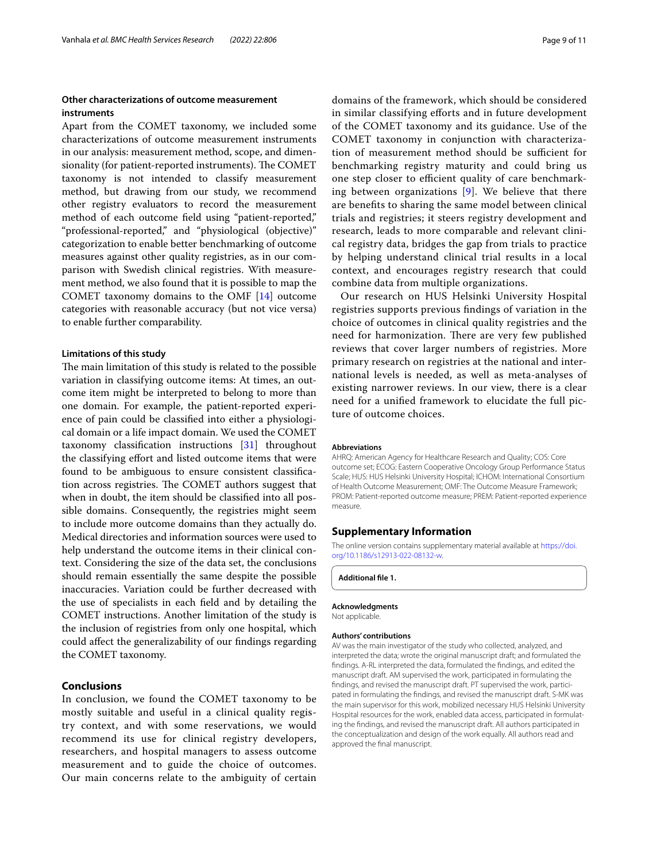## **Other characterizations of outcome measurement instruments**

Apart from the COMET taxonomy, we included some characterizations of outcome measurement instruments in our analysis: measurement method, scope, and dimensionality (for patient-reported instruments). The COMET taxonomy is not intended to classify measurement method, but drawing from our study, we recommend other registry evaluators to record the measurement method of each outcome feld using "patient-reported," "professional-reported," and "physiological (objective)" categorization to enable better benchmarking of outcome measures against other quality registries, as in our comparison with Swedish clinical registries. With measurement method, we also found that it is possible to map the COMET taxonomy domains to the OMF [[14\]](#page-9-27) outcome categories with reasonable accuracy (but not vice versa) to enable further comparability.

#### **Limitations of this study**

The main limitation of this study is related to the possible variation in classifying outcome items: At times, an outcome item might be interpreted to belong to more than one domain. For example, the patient-reported experience of pain could be classifed into either a physiological domain or a life impact domain. We used the COMET taxonomy classifcation instructions [[31\]](#page-9-25) throughout the classifying efort and listed outcome items that were found to be ambiguous to ensure consistent classifcation across registries. The COMET authors suggest that when in doubt, the item should be classifed into all possible domains. Consequently, the registries might seem to include more outcome domains than they actually do. Medical directories and information sources were used to help understand the outcome items in their clinical context. Considering the size of the data set, the conclusions should remain essentially the same despite the possible inaccuracies. Variation could be further decreased with the use of specialists in each feld and by detailing the COMET instructions. Another limitation of the study is the inclusion of registries from only one hospital, which could afect the generalizability of our fndings regarding the COMET taxonomy.

#### **Conclusions**

In conclusion, we found the COMET taxonomy to be mostly suitable and useful in a clinical quality registry context, and with some reservations, we would recommend its use for clinical registry developers, researchers, and hospital managers to assess outcome measurement and to guide the choice of outcomes. Our main concerns relate to the ambiguity of certain

domains of the framework, which should be considered in similar classifying efforts and in future development of the COMET taxonomy and its guidance. Use of the COMET taxonomy in conjunction with characterization of measurement method should be sufficient for benchmarking registry maturity and could bring us one step closer to efficient quality of care benchmarking between organizations [[9\]](#page-9-8). We believe that there are benefts to sharing the same model between clinical trials and registries; it steers registry development and research, leads to more comparable and relevant clinical registry data, bridges the gap from trials to practice by helping understand clinical trial results in a local context, and encourages registry research that could combine data from multiple organizations.

Our research on HUS Helsinki University Hospital registries supports previous fndings of variation in the choice of outcomes in clinical quality registries and the need for harmonization. There are very few published reviews that cover larger numbers of registries. More primary research on registries at the national and international levels is needed, as well as meta-analyses of existing narrower reviews. In our view, there is a clear need for a unifed framework to elucidate the full picture of outcome choices.

#### **Abbreviations**

AHRQ: American Agency for Healthcare Research and Quality; COS: Core outcome set; ECOG: Eastern Cooperative Oncology Group Performance Status Scale; HUS: HUS Helsinki University Hospital; ICHOM: International Consortium of Health Outcome Measurement; OMF: The Outcome Measure Framework; PROM: Patient-reported outcome measure; PREM: Patient-reported experience measure.

#### **Supplementary Information**

The online version contains supplementary material available at [https://doi.](https://doi.org/10.1186/s12913-022-08132-w) [org/10.1186/s12913-022-08132-w.](https://doi.org/10.1186/s12913-022-08132-w)

<span id="page-8-0"></span>**Additional fle 1.**

#### **Acknowledgments**

Not applicable.

#### **Authors' contributions**

AV was the main investigator of the study who collected, analyzed, and interpreted the data; wrote the original manuscript draft; and formulated the fndings. A-RL interpreted the data, formulated the fndings, and edited the manuscript draft. AM supervised the work, participated in formulating the findings, and revised the manuscript draft. PT supervised the work, participated in formulating the fndings, and revised the manuscript draft. S-MK was the main supervisor for this work, mobilized necessary HUS Helsinki University Hospital resources for the work, enabled data access, participated in formulating the fndings, and revised the manuscript draft. All authors participated in the conceptualization and design of the work equally. All authors read and approved the fnal manuscript.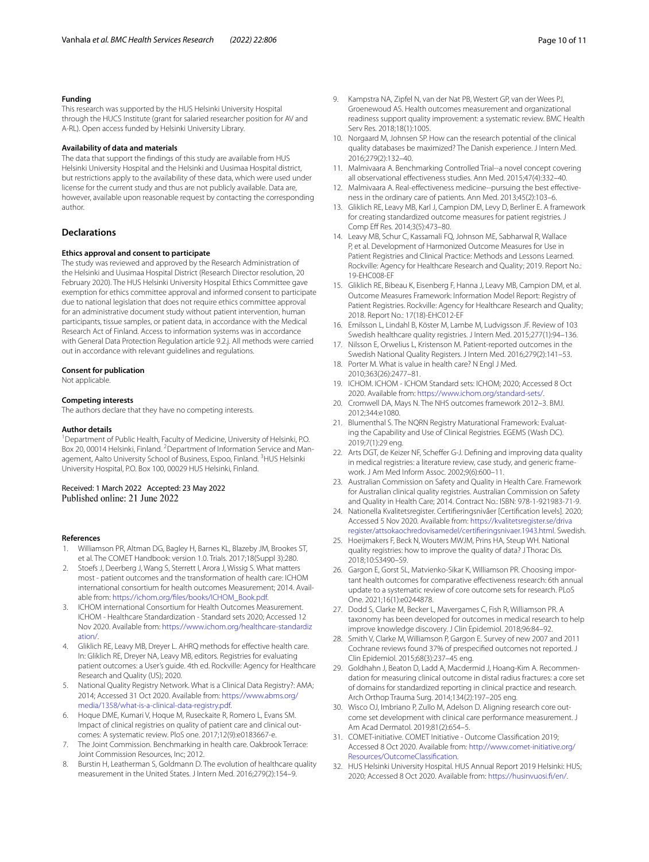#### **Funding**

This research was supported by the HUS Helsinki University Hospital through the HUCS Institute (grant for salaried researcher position for AV and A-RL). Open access funded by Helsinki University Library.

#### **Availability of data and materials**

The data that support the fndings of this study are available from HUS Helsinki University Hospital and the Helsinki and Uusimaa Hospital district, but restrictions apply to the availability of these data, which were used under license for the current study and thus are not publicly available. Data are, however, available upon reasonable request by contacting the corresponding author.

#### **Declarations**

#### **Ethics approval and consent to participate**

The study was reviewed and approved by the Research Administration of the Helsinki and Uusimaa Hospital District (Research Director resolution, 20 February 2020). The HUS Helsinki University Hospital Ethics Committee gave exemption for ethics committee approval and informed consent to participate due to national legislation that does not require ethics committee approval for an administrative document study without patient intervention, human participants, tissue samples, or patient data, in accordance with the Medical Research Act of Finland. Access to information systems was in accordance with General Data Protection Regulation article 9.2.j. All methods were carried out in accordance with relevant guidelines and regulations.

#### **Consent for publication**

Not applicable.

#### **Competing interests**

The authors declare that they have no competing interests.

#### **Author details**

<sup>1</sup> Department of Public Health, Faculty of Medicine, University of Helsinki, P.O. Box 20, 00014 Helsinki, Finland. <sup>2</sup> Department of Information Service and Management, Aalto University School of Business, Espoo, Finland. <sup>3</sup>HUS Helsinki University Hospital, P.O. Box 100, 00029 HUS Helsinki, Finland.

## Received: 1 March 2022 Accepted: 23 May 2022<br>Published online: 21 June 2022

#### **References**

- <span id="page-9-0"></span>Williamson PR, Altman DG, Bagley H, Barnes KL, Blazeby JM, Brookes ST, et al. The COMET Handbook: version 1.0. Trials. 2017;18(Suppl 3):280.
- <span id="page-9-1"></span>Stoefs J, Deerberg J, Wang S, Sterrett I, Arora J, Wissig S. What matters most - patient outcomes and the transformation of health care: ICHOM international consortium for health outcomes Measurement; 2014. Available from: [https://ichom.org/fles/books/ICHOM\\_Book.pdf](https://ichom.org/files/books/ICHOM_Book.pdf).
- <span id="page-9-2"></span>3. ICHOM international Consortium for Health Outcomes Measurement. ICHOM - Healthcare Standardization - Standard sets 2020; Accessed 12 Nov 2020. Available from: [https://www.ichom.org/healthcare-standardiz](https://www.ichom.org/healthcare-standardization/) [ation/.](https://www.ichom.org/healthcare-standardization/)
- <span id="page-9-3"></span>4. Gliklich RE, Leavy MB, Dreyer L. AHRQ methods for effective health care. In: Gliklich RE, Dreyer NA, Leavy MB, editors. Registries for evaluating patient outcomes: a User's guide. 4th ed. Rockville: Agency for Healthcare Research and Quality (US); 2020.
- <span id="page-9-4"></span>5. National Quality Registry Network. What is a Clinical Data Registry?: AMA; 2014; Accessed 31 Oct 2020. Available from: [https://www.abms.org/](https://www.abms.org/media/1358/what-is-a-clinical-data-registry.pdf) [media/1358/what-is-a-clinical-data-registry.pdf.](https://www.abms.org/media/1358/what-is-a-clinical-data-registry.pdf)
- <span id="page-9-5"></span>6. Hoque DME, Kumari V, Hoque M, Ruseckaite R, Romero L, Evans SM. Impact of clinical registries on quality of patient care and clinical outcomes: A systematic review. PloS one. 2017;12(9):e0183667-e.
- <span id="page-9-6"></span>7. The Joint Commission. Benchmarking in health care. Oakbrook Terrace: Joint Commission Resources, Inc; 2012.
- <span id="page-9-7"></span>Burstin H, Leatherman S, Goldmann D. The evolution of healthcare quality measurement in the United States. J Intern Med. 2016;279(2):154–9.
- <span id="page-9-8"></span>9. Kampstra NA, Zipfel N, van der Nat PB, Westert GP, van der Wees PJ, Groenewoud AS. Health outcomes measurement and organizational readiness support quality improvement: a systematic review. BMC Health Serv Res. 2018;18(1):1005.
- <span id="page-9-9"></span>10. Norgaard M, Johnsen SP. How can the research potential of the clinical quality databases be maximized? The Danish experience. J Intern Med. 2016;279(2):132–40.
- 11. Malmivaara A. Benchmarking Controlled Trial--a novel concept covering all observational efectiveness studies. Ann Med. 2015;47(4):332–40.
- <span id="page-9-10"></span>12. Malmivaara A. Real-effectiveness medicine--pursuing the best effectiveness in the ordinary care of patients. Ann Med. 2013;45(2):103–6.
- <span id="page-9-11"></span>13. Gliklich RE, Leavy MB, Karl J, Campion DM, Levy D, Berliner E. A framework for creating standardized outcome measures for patient registries. J Comp Eff Res. 2014;3(5):473-80.
- <span id="page-9-27"></span>14. Leavy MB, Schur C, Kassamali FQ, Johnson ME, Sabharwal R, Wallace P, et al. Development of Harmonized Outcome Measures for Use in Patient Registries and Clinical Practice: Methods and Lessons Learned. Rockville: Agency for Healthcare Research and Quality; 2019. Report No.: 19-EHC008-EF
- <span id="page-9-12"></span>15. Gliklich RE, Bibeau K, Eisenberg F, Hanna J, Leavy MB, Campion DM, et al. Outcome Measures Framework: Information Model Report: Registry of Patient Registries. Rockville: Agency for Healthcare Research and Quality; 2018. Report No.: 17(18)-EHC012-EF
- <span id="page-9-13"></span>16. Emilsson L, Lindahl B, Köster M, Lambe M, Ludvigsson JF. Review of 103 Swedish healthcare quality registries. J Intern Med. 2015;277(1):94–136.
- <span id="page-9-14"></span>17. Nilsson E, Orwelius L, Kristenson M. Patient-reported outcomes in the Swedish National Quality Registers. J Intern Med. 2016;279(2):141–53.
- <span id="page-9-15"></span>18. Porter M. What is value in health care? N Engl J Med. 2010;363(26):2477–81.
- <span id="page-9-16"></span>19. ICHOM. ICHOM - ICHOM Standard sets: ICHOM; 2020; Accessed 8 Oct 2020. Available from: [https://www.ichom.org/standard-sets/.](https://www.ichom.org/standard-sets/)
- <span id="page-9-17"></span>20. Cromwell DA, Mays N. The NHS outcomes framework 2012–3. BMJ. 2012;344:e1080.
- <span id="page-9-18"></span>21. Blumenthal S. The NQRN Registry Maturational Framework: Evaluating the Capability and Use of Clinical Registries. EGEMS (Wash DC). 2019;7(1):29 eng.
- 22. Arts DGT, de Keizer NF, Scheffer G-J. Defining and improving data quality in medical registries: a literature review, case study, and generic framework. J Am Med Inform Assoc. 2002;9(6):600–11.
- 23. Australian Commission on Safety and Quality in Health Care. Framework for Australian clinical quality registries. Australian Commission on Safety and Quality in Health Care; 2014. Contract No.: ISBN: 978-1-921983-71-9.
- 24. Nationella Kvalitetsregister. Certiferingsnivåer [Certifcation levels]. 2020; Accessed 5 Nov 2020. Available from: [https://kvalitetsregister.se/driva](https://kvalitetsregister.se/drivaregister/attsokaochredovisamedel/certifieringsnivaer.1943.html) [register/attsokaochredovisamedel/certiferingsnivaer.1943.html.](https://kvalitetsregister.se/drivaregister/attsokaochredovisamedel/certifieringsnivaer.1943.html) Swedish.
- <span id="page-9-19"></span>25. Hoeijmakers F, Beck N, Wouters MWJM, Prins HA, Steup WH. National quality registries: how to improve the quality of data? J Thorac Dis. 2018;10:S3490–S9.
- <span id="page-9-20"></span>26. Gargon E, Gorst SL, Matvienko-Sikar K, Williamson PR. Choosing important health outcomes for comparative efectiveness research: 6th annual update to a systematic review of core outcome sets for research. PLoS One. 2021;16(1):e0244878.
- <span id="page-9-21"></span>27. Dodd S, Clarke M, Becker L, Mavergames C, Fish R, Williamson PR. A taxonomy has been developed for outcomes in medical research to help improve knowledge discovery. J Clin Epidemiol. 2018;96:84–92.
- <span id="page-9-22"></span>28. Smith V, Clarke M, Williamson P, Gargon E. Survey of new 2007 and 2011 Cochrane reviews found 37% of prespecifed outcomes not reported. J Clin Epidemiol. 2015;68(3):237–45 eng.
- <span id="page-9-23"></span>29. Goldhahn J, Beaton D, Ladd A, Macdermid J, Hoang-Kim A. Recommendation for measuring clinical outcome in distal radius fractures: a core set of domains for standardized reporting in clinical practice and research. Arch Orthop Trauma Surg. 2014;134(2):197–205 eng.
- <span id="page-9-24"></span>30. Wisco OJ, Imbriano P, Zullo M, Adelson D. Aligning research core outcome set development with clinical care performance measurement. J Am Acad Dermatol. 2019;81(2):654–5.
- <span id="page-9-25"></span>31. COMET-initiative. COMET Initiative - Outcome Classifcation 2019; Accessed 8 Oct 2020. Available from: [http://www.comet-initiative.org/](http://www.comet-initiative.org/Resources/OutcomeClassification) [Resources/OutcomeClassifcation.](http://www.comet-initiative.org/Resources/OutcomeClassification)
- <span id="page-9-26"></span>32. HUS Helsinki University Hospital. HUS Annual Report 2019 Helsinki: HUS; 2020; Accessed 8 Oct 2020. Available from: [https://husinvuosi.f/en/](https://husinvuosi.fi/en/).